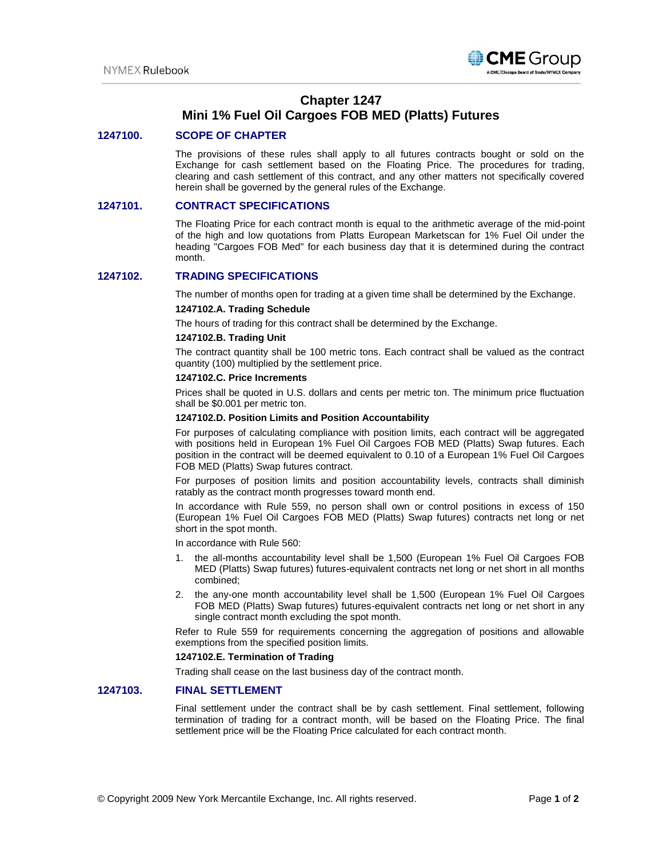

# **Chapter 1247 Mini 1% Fuel Oil Cargoes FOB MED (Platts) Futures**

## **1247100. SCOPE OF CHAPTER**

The provisions of these rules shall apply to all futures contracts bought or sold on the Exchange for cash settlement based on the Floating Price. The procedures for trading, clearing and cash settlement of this contract, and any other matters not specifically covered herein shall be governed by the general rules of the Exchange.

#### **1247101. CONTRACT SPECIFICATIONS**

The Floating Price for each contract month is equal to the arithmetic average of the mid-point of the high and low quotations from Platts European Marketscan for 1% Fuel Oil under the heading "Cargoes FOB Med" for each business day that it is determined during the contract month.

## **1247102. TRADING SPECIFICATIONS**

The number of months open for trading at a given time shall be determined by the Exchange.

#### **1247102.A. Trading Schedule**

The hours of trading for this contract shall be determined by the Exchange.

#### **1247102.B. Trading Unit**

The contract quantity shall be 100 metric tons. Each contract shall be valued as the contract quantity (100) multiplied by the settlement price.

#### **1247102.C. Price Increments**

Prices shall be quoted in U.S. dollars and cents per metric ton. The minimum price fluctuation shall be \$0.001 per metric ton.

#### **1247102.D. Position Limits and Position Accountability**

For purposes of calculating compliance with position limits, each contract will be aggregated with positions held in European 1% Fuel Oil Cargoes FOB MED (Platts) Swap futures. Each position in the contract will be deemed equivalent to 0.10 of a European 1% Fuel Oil Cargoes FOB MED (Platts) Swap futures contract.

For purposes of position limits and position accountability levels, contracts shall diminish ratably as the contract month progresses toward month end.

In accordance with Rule 559, no person shall own or control positions in excess of 150 (European 1% Fuel Oil Cargoes FOB MED (Platts) Swap futures) contracts net long or net short in the spot month.

In accordance with Rule 560:

- 1. the all-months accountability level shall be 1,500 (European 1% Fuel Oil Cargoes FOB MED (Platts) Swap futures) futures-equivalent contracts net long or net short in all months combined;
- 2. the any-one month accountability level shall be 1,500 (European 1% Fuel Oil Cargoes FOB MED (Platts) Swap futures) futures-equivalent contracts net long or net short in any single contract month excluding the spot month.

Refer to Rule 559 for requirements concerning the aggregation of positions and allowable exemptions from the specified position limits.

#### **1247102.E. Termination of Trading**

Trading shall cease on the last business day of the contract month.

## **1247103. FINAL SETTLEMENT**

Final settlement under the contract shall be by cash settlement. Final settlement, following termination of trading for a contract month, will be based on the Floating Price. The final settlement price will be the Floating Price calculated for each contract month.